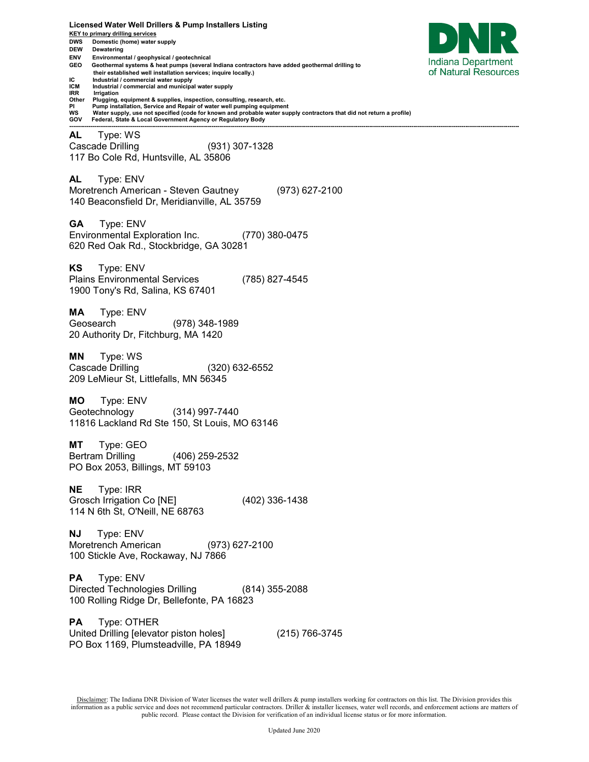**KEY to primary drilling services DWS Domestic (home) water supply DEW Dewatering ENV Environmental / geophysical / geotechnical**  Indiana Department **GEO Geothermal systems & heat pumps (several Indiana contractors have added geothermal drilling to**  of Natural Resources  **their established well installation services; inquire locally.) IC** Industrial / commercial water supply<br>**ICM** Industrial / commercial and municipal **ICM** Industrial / commercial and municipal water supply<br>**IRR** Irrigation **IRR Irrigation**<br>Other **Plugging Other Plugging, equipment & supplies, inspection, consulting, research, etc. PI Pump installation, Service and Repair of water well pumping equipment WS Water supply, use not specified (code for known and probable water supply contractors that did not return a profile) GOV Federal, State & Local Government Agency or Regulatory Body ------------------------------------------------------------------------------------------------------------------------------------------------------------------------------------------------------------------------------------------ AL** Type: WS Cascade Drilling (931) 307-1328 117 Bo Cole Rd, Huntsville, AL 35806 **AL** Type: ENV Moretrench American - Steven Gautney (973) 627-2100 140 Beaconsfield Dr, Meridianville, AL 35759 **GA** Type: ENV Environmental Exploration Inc. (770) 380-0475 620 Red Oak Rd., Stockbridge, GA 30281 **KS** Type: ENV Plains Environmental Services (785) 827-4545 1900 Tony's Rd, Salina, KS 67401 **MA** Type: ENV Geosearch (978) 348-1989 20 Authority Dr, Fitchburg, MA 1420 **MN** Type: WS Cascade Drilling (320) 632-6552 209 LeMieur St, Littlefalls, MN 56345 **MO** Type: ENV Geotechnology (314) 997-7440 11816 Lackland Rd Ste 150, St Louis, MO 63146 **MT** Type: GEO Bertram Drilling (406) 259-2532 PO Box 2053, Billings, MT 59103 **NE** Type: IRR Grosch Irrigation Co [NE] (402) 336-1438 114 N 6th St, O'Neill, NE 68763 **NJ** Type: ENV Moretrench American (973) 627-2100 100 Stickle Ave, Rockaway, NJ 7866 **PA** Type: ENV Directed Technologies Drilling (814) 355-2088 100 Rolling Ridge Dr, Bellefonte, PA 16823 **PA** Type: OTHER United Drilling [elevator piston holes] (215) 766-3745 PO Box 1169, Plumsteadville, PA 18949

**Licensed Water Well Drillers & Pump Installers Listing**

Disclaimer: The Indiana DNR Division of Water licenses the water well drillers & pump installers working for contractors on this list. The Division provides this information as a public service and does not recommend particular contractors. Driller & installer licenses, water well records, and enforcement actions are matters of public record. Please contact the Division for verification of an individual license status or for more information.